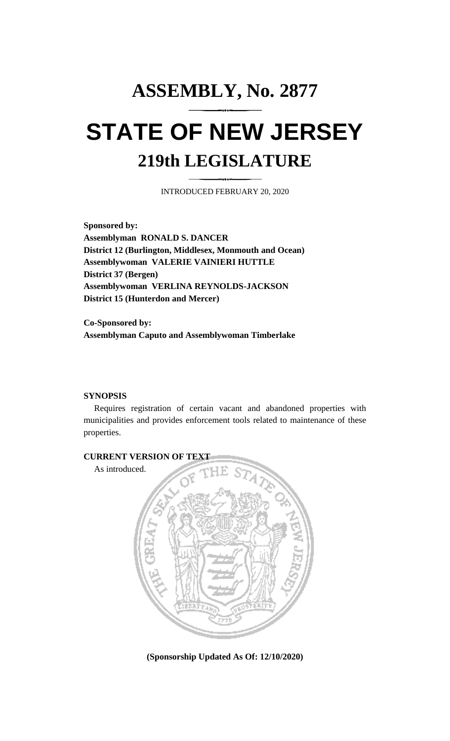## **ASSEMBLY, No. 2877 STATE OF NEW JERSEY 219th LEGISLATURE**

INTRODUCED FEBRUARY 20, 2020

**Sponsored by: Assemblyman RONALD S. DANCER District 12 (Burlington, Middlesex, Monmouth and Ocean) Assemblywoman VALERIE VAINIERI HUTTLE District 37 (Bergen) Assemblywoman VERLINA REYNOLDS-JACKSON District 15 (Hunterdon and Mercer)**

**Co-Sponsored by: Assemblyman Caputo and Assemblywoman Timberlake**

## **SYNOPSIS**

Requires registration of certain vacant and abandoned properties with municipalities and provides enforcement tools related to maintenance of these properties.



**(Sponsorship Updated As Of: 12/10/2020)**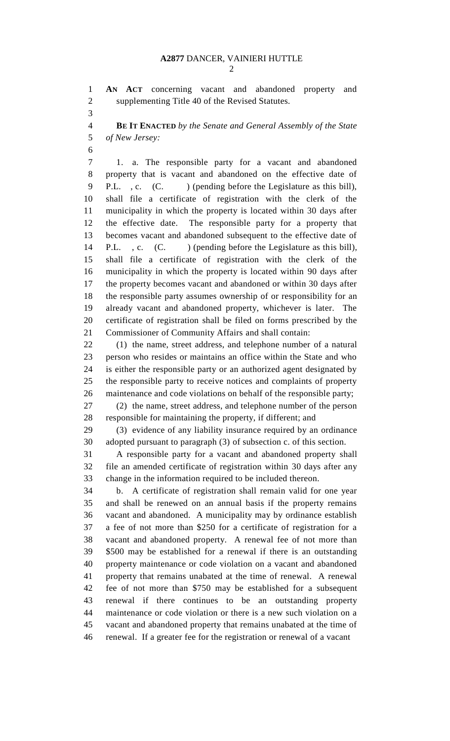**AN ACT** concerning vacant and abandoned property and supplementing Title 40 of the Revised Statutes.

 **BE IT ENACTED** *by the Senate and General Assembly of the State of New Jersey:*

 1. a. The responsible party for a vacant and abandoned property that is vacant and abandoned on the effective date of 9 P.L., c. (C. ) (pending before the Legislature as this bill), shall file a certificate of registration with the clerk of the municipality in which the property is located within 30 days after the effective date. The responsible party for a property that becomes vacant and abandoned subsequent to the effective date of 14 P.L., c. (C. ) (pending before the Legislature as this bill), shall file a certificate of registration with the clerk of the municipality in which the property is located within 90 days after the property becomes vacant and abandoned or within 30 days after the responsible party assumes ownership of or responsibility for an already vacant and abandoned property, whichever is later. The certificate of registration shall be filed on forms prescribed by the Commissioner of Community Affairs and shall contain:

 (1) the name, street address, and telephone number of a natural person who resides or maintains an office within the State and who is either the responsible party or an authorized agent designated by the responsible party to receive notices and complaints of property maintenance and code violations on behalf of the responsible party;

 (2) the name, street address, and telephone number of the person responsible for maintaining the property, if different; and

 (3) evidence of any liability insurance required by an ordinance adopted pursuant to paragraph (3) of subsection c. of this section.

 A responsible party for a vacant and abandoned property shall file an amended certificate of registration within 30 days after any change in the information required to be included thereon.

 b. A certificate of registration shall remain valid for one year and shall be renewed on an annual basis if the property remains vacant and abandoned. A municipality may by ordinance establish a fee of not more than \$250 for a certificate of registration for a vacant and abandoned property. A renewal fee of not more than \$500 may be established for a renewal if there is an outstanding property maintenance or code violation on a vacant and abandoned property that remains unabated at the time of renewal. A renewal fee of not more than \$750 may be established for a subsequent renewal if there continues to be an outstanding property maintenance or code violation or there is a new such violation on a vacant and abandoned property that remains unabated at the time of renewal. If a greater fee for the registration or renewal of a vacant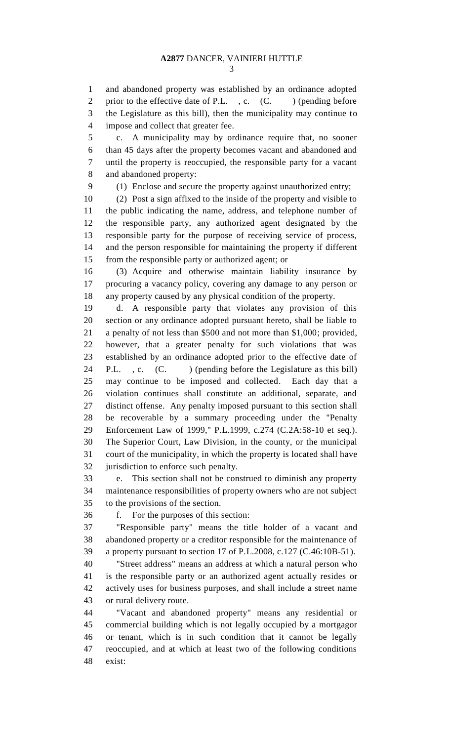and abandoned property was established by an ordinance adopted 2 prior to the effective date of P.L., c. (C.) (pending before the Legislature as this bill), then the municipality may continue to impose and collect that greater fee.

 c. A municipality may by ordinance require that, no sooner than 45 days after the property becomes vacant and abandoned and until the property is reoccupied, the responsible party for a vacant and abandoned property:

(1) Enclose and secure the property against unauthorized entry;

 (2) Post a sign affixed to the inside of the property and visible to the public indicating the name, address, and telephone number of the responsible party, any authorized agent designated by the responsible party for the purpose of receiving service of process, and the person responsible for maintaining the property if different from the responsible party or authorized agent; or

 (3) Acquire and otherwise maintain liability insurance by procuring a vacancy policy, covering any damage to any person or any property caused by any physical condition of the property.

 d. A responsible party that violates any provision of this section or any ordinance adopted pursuant hereto, shall be liable to a penalty of not less than \$500 and not more than \$1,000; provided, however, that a greater penalty for such violations that was established by an ordinance adopted prior to the effective date of 24 P.L., c. (C. ) (pending before the Legislature as this bill) may continue to be imposed and collected. Each day that a violation continues shall constitute an additional, separate, and distinct offense. Any penalty imposed pursuant to this section shall be recoverable by a summary proceeding under the "Penalty Enforcement Law of 1999," P.L.1999, c.274 (C.2A:58-10 et seq.). The Superior Court, Law Division, in the county, or the municipal court of the municipality, in which the property is located shall have jurisdiction to enforce such penalty.

 e. This section shall not be construed to diminish any property maintenance responsibilities of property owners who are not subject to the provisions of the section.

f. For the purposes of this section:

 "Responsible party" means the title holder of a vacant and abandoned property or a creditor responsible for the maintenance of a property pursuant to section 17 of P.L.2008, c.127 (C.46:10B-51).

 "Street address" means an address at which a natural person who is the responsible party or an authorized agent actually resides or actively uses for business purposes, and shall include a street name or rural delivery route.

 "Vacant and abandoned property" means any residential or commercial building which is not legally occupied by a mortgagor or tenant, which is in such condition that it cannot be legally reoccupied, and at which at least two of the following conditions exist: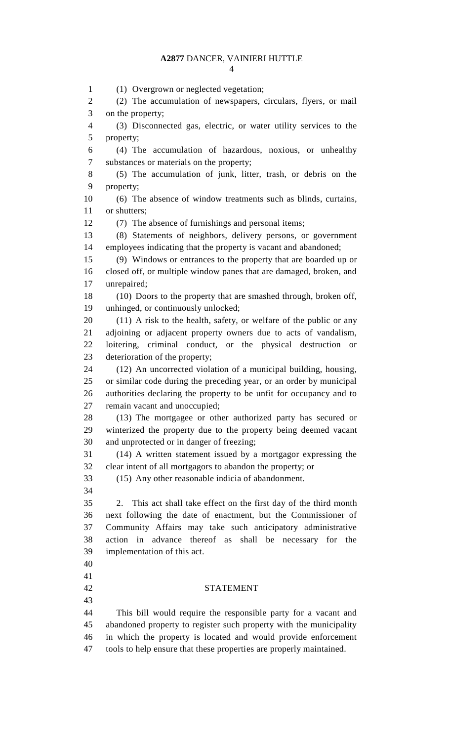## **A2877** DANCER, VAINIERI HUTTLE

 (1) Overgrown or neglected vegetation; (2) The accumulation of newspapers, circulars, flyers, or mail on the property; (3) Disconnected gas, electric, or water utility services to the property; (4) The accumulation of hazardous, noxious, or unhealthy substances or materials on the property; (5) The accumulation of junk, litter, trash, or debris on the property; (6) The absence of window treatments such as blinds, curtains, 11 or shutters; (7) The absence of furnishings and personal items; (8) Statements of neighbors, delivery persons, or government employees indicating that the property is vacant and abandoned; (9) Windows or entrances to the property that are boarded up or closed off, or multiple window panes that are damaged, broken, and unrepaired; (10) Doors to the property that are smashed through, broken off, unhinged, or continuously unlocked; (11) A risk to the health, safety, or welfare of the public or any adjoining or adjacent property owners due to acts of vandalism, loitering, criminal conduct, or the physical destruction or deterioration of the property; (12) An uncorrected violation of a municipal building, housing, or similar code during the preceding year, or an order by municipal authorities declaring the property to be unfit for occupancy and to remain vacant and unoccupied; (13) The mortgagee or other authorized party has secured or winterized the property due to the property being deemed vacant and unprotected or in danger of freezing; (14) A written statement issued by a mortgagor expressing the clear intent of all mortgagors to abandon the property; or (15) Any other reasonable indicia of abandonment. 2. This act shall take effect on the first day of the third month next following the date of enactment, but the Commissioner of Community Affairs may take such anticipatory administrative action in advance thereof as shall be necessary for the implementation of this act. STATEMENT This bill would require the responsible party for a vacant and abandoned property to register such property with the municipality in which the property is located and would provide enforcement tools to help ensure that these properties are properly maintained.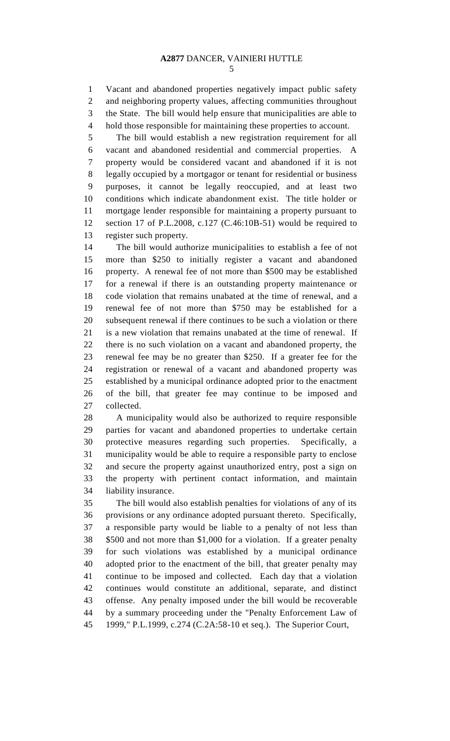Vacant and abandoned properties negatively impact public safety and neighboring property values, affecting communities throughout the State. The bill would help ensure that municipalities are able to hold those responsible for maintaining these properties to account.

 The bill would establish a new registration requirement for all vacant and abandoned residential and commercial properties. A property would be considered vacant and abandoned if it is not legally occupied by a mortgagor or tenant for residential or business purposes, it cannot be legally reoccupied, and at least two conditions which indicate abandonment exist. The title holder or mortgage lender responsible for maintaining a property pursuant to section 17 of P.L.2008, c.127 (C.46:10B-51) would be required to register such property.

 The bill would authorize municipalities to establish a fee of not more than \$250 to initially register a vacant and abandoned property. A renewal fee of not more than \$500 may be established for a renewal if there is an outstanding property maintenance or code violation that remains unabated at the time of renewal, and a renewal fee of not more than \$750 may be established for a subsequent renewal if there continues to be such a violation or there is a new violation that remains unabated at the time of renewal. If there is no such violation on a vacant and abandoned property, the renewal fee may be no greater than \$250. If a greater fee for the registration or renewal of a vacant and abandoned property was established by a municipal ordinance adopted prior to the enactment of the bill, that greater fee may continue to be imposed and collected.

 A municipality would also be authorized to require responsible parties for vacant and abandoned properties to undertake certain protective measures regarding such properties. Specifically, a municipality would be able to require a responsible party to enclose and secure the property against unauthorized entry, post a sign on the property with pertinent contact information, and maintain liability insurance.

 The bill would also establish penalties for violations of any of its provisions or any ordinance adopted pursuant thereto. Specifically, a responsible party would be liable to a penalty of not less than \$500 and not more than \$1,000 for a violation. If a greater penalty for such violations was established by a municipal ordinance adopted prior to the enactment of the bill, that greater penalty may continue to be imposed and collected. Each day that a violation continues would constitute an additional, separate, and distinct offense. Any penalty imposed under the bill would be recoverable by a summary proceeding under the "Penalty Enforcement Law of 1999," P.L.1999, c.274 (C.2A:58-10 et seq.). The Superior Court,